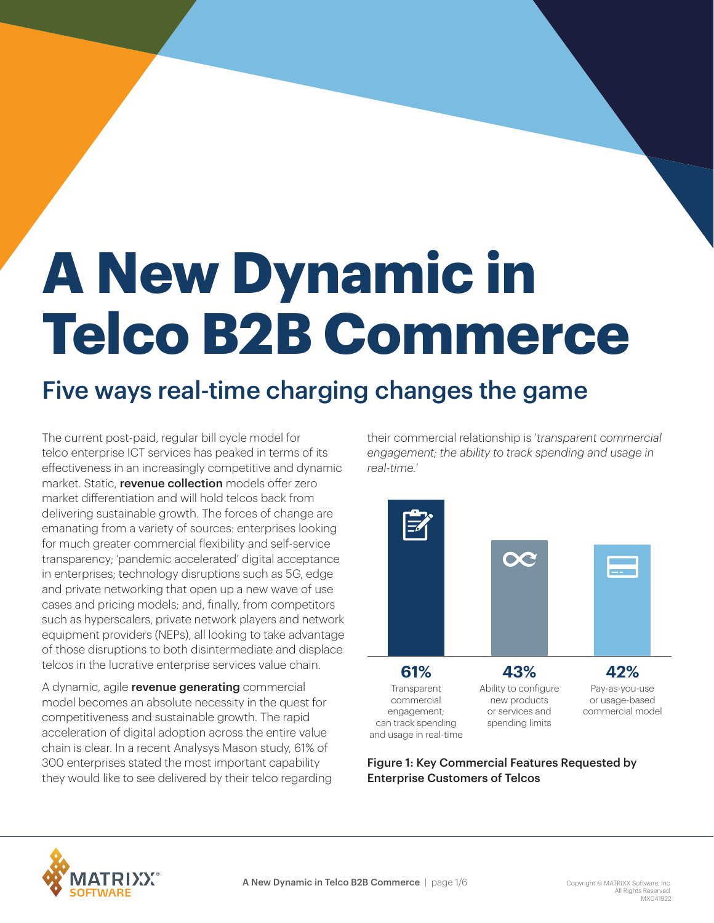# **A New Dynamic in Telco B2B Commerce**

## Five ways real-time charging changes the game

The current post-paid, regular bill cycle model for telco enterprise ICT services has peaked in terms of its effectiveness in an increasingly competitive and dynamic market. Static, **revenue collection** models offer zero market differentiation and will hold telcos back from delivering sustainable growth. The forces of change are emanating from a variety of sources: enterprises looking for much greater commercial flexibility and self-service transparency; 'pandemic accelerated' digital acceptance in enterprises; technology disruptions such as 5G, edge and private networking that open up a new wave of use cases and pricing models; and, finally, from competitors such as hyperscalers, private network players and network equipment providers (NEPs), all looking to take advantage of those disruptions to both disintermediate and displace telcos in the lucrative enterprise services value chain.

A dynamic, agile revenue generating commercial model becomes an absolute necessity in the quest for competitiveness and sustainable growth. The rapid acceleration of digital adoption across the entire value chain is clear. In a recent Analysys Mason study, 61% of 300 enterprises stated the most important capability they would like to see delivered by their telco regarding their commercial relationship is '*transparent commercial engagement; the ability to track spending and usage in real-time.*'



Figure 1: Key Commercial Features Requested by Enterprise Customers of Telcos

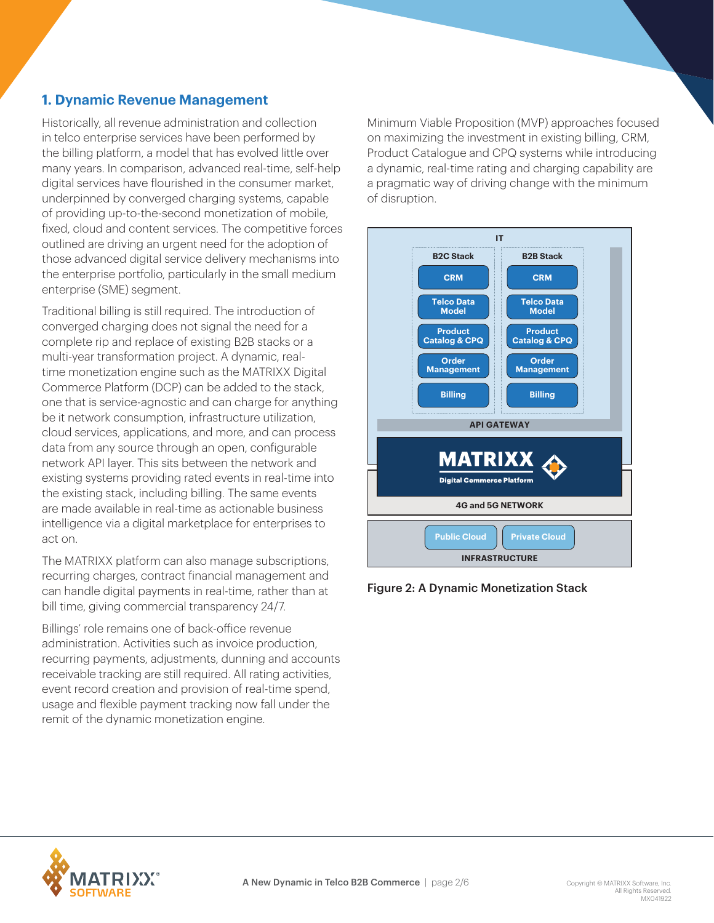#### **1. Dynamic Revenue Management**

Historically, all revenue administration and collection in telco enterprise services have been performed by the billing platform, a model that has evolved little over many years. In comparison, advanced real-time, self-help digital services have flourished in the consumer market, underpinned by converged charging systems, capable of providing up-to-the-second monetization of mobile, fixed, cloud and content services. The competitive forces outlined are driving an urgent need for the adoption of those advanced digital service delivery mechanisms into the enterprise portfolio, particularly in the small medium enterprise (SME) segment.

Traditional billing is still required. The introduction of converged charging does not signal the need for a complete rip and replace of existing B2B stacks or a multi-year transformation project. A dynamic, realtime monetization engine such as the MATRIXX Digital Commerce Platform (DCP) can be added to the stack, one that is service-agnostic and can charge for anything be it network consumption, infrastructure utilization, cloud services, applications, and more, and can process data from any source through an open, configurable network API layer. This sits between the network and existing systems providing rated events in real-time into the existing stack, including billing. The same events are made available in real-time as actionable business intelligence via a digital marketplace for enterprises to act on.

The MATRIXX platform can also manage subscriptions, recurring charges, contract financial management and can handle digital payments in real-time, rather than at bill time, giving commercial transparency 24/7.

Billings' role remains one of back-office revenue administration. Activities such as invoice production, recurring payments, adjustments, dunning and accounts receivable tracking are still required. All rating activities, event record creation and provision of real-time spend, usage and flexible payment tracking now fall under the remit of the dynamic monetization engine.

Minimum Viable Proposition (MVP) approaches focused on maximizing the investment in existing billing, CRM, Product Catalogue and CPQ systems while introducing a dynamic, real-time rating and charging capability are a pragmatic way of driving change with the minimum of disruption.



Figure 2: A Dynamic Monetization Stack

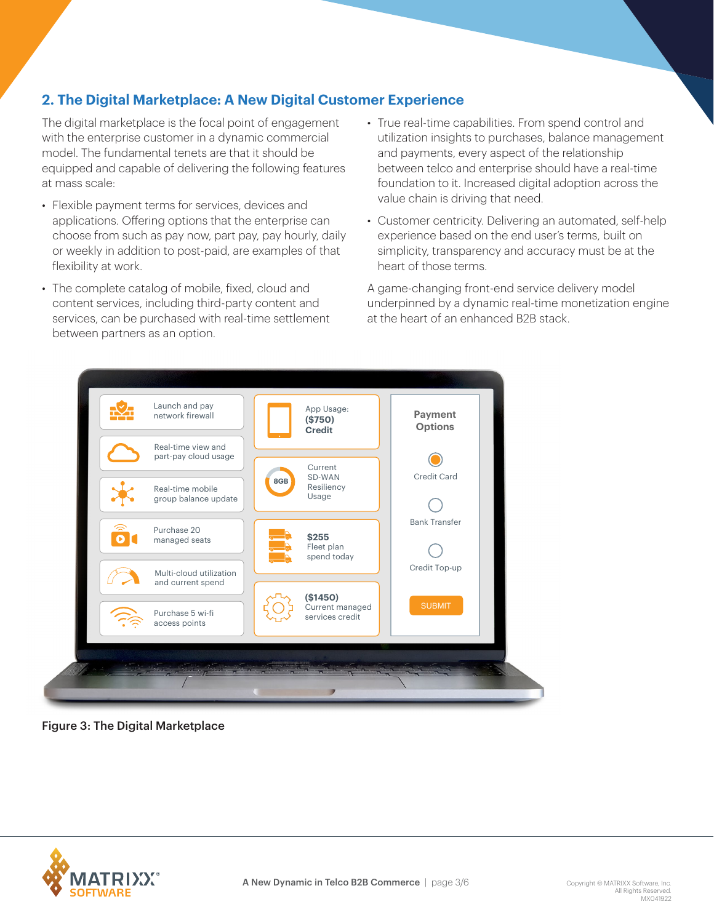### **2. The Digital Marketplace: A New Digital Customer Experience**

The digital marketplace is the focal point of engagement with the enterprise customer in a dynamic commercial model. The fundamental tenets are that it should be equipped and capable of delivering the following features at mass scale:

- Flexible payment terms for services, devices and applications. Offering options that the enterprise can choose from such as pay now, part pay, pay hourly, daily or weekly in addition to post-paid, are examples of that flexibility at work.
- The complete catalog of mobile, fixed, cloud and content services, including third-party content and services, can be purchased with real-time settlement between partners as an option.
- True real-time capabilities. From spend control and utilization insights to purchases, balance management and payments, every aspect of the relationship between telco and enterprise should have a real-time foundation to it. Increased digital adoption across the value chain is driving that need.
- Customer centricity. Delivering an automated, self-help experience based on the end user's terms, built on simplicity, transparency and accuracy must be at the heart of those terms.

A game-changing front-end service delivery model underpinned by a dynamic real-time monetization engine at the heart of an enhanced B2B stack.



Figure 3: The Digital Marketplace

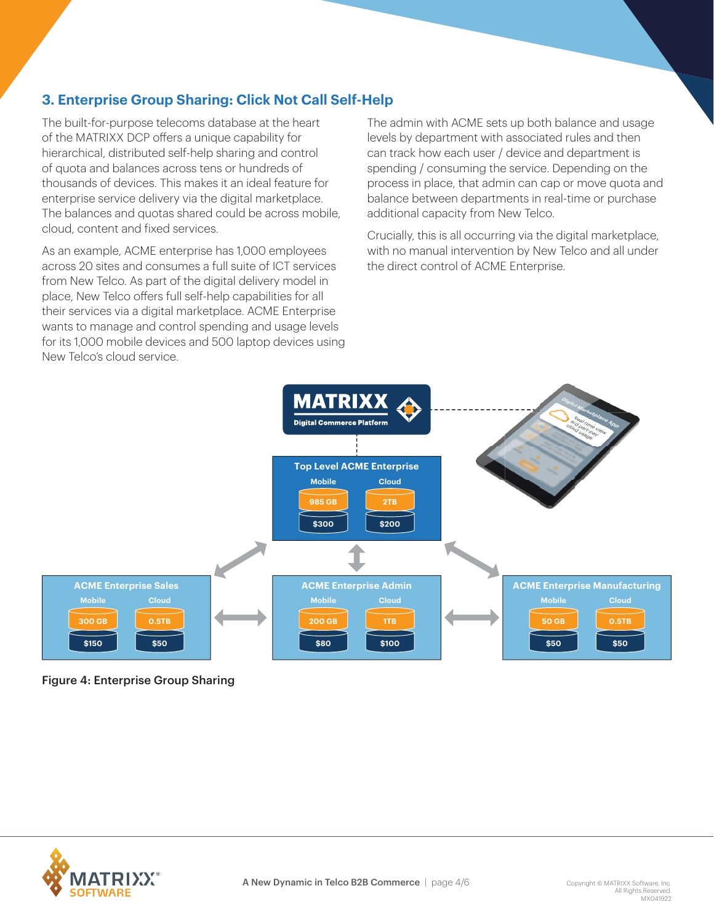#### **3. Enterprise Group Sharing: Click Not Call Self-Help**

The built-for-purpose telecoms database at the heart of the MATRIXX DCP offers a unique capability for hierarchical, distributed self-help sharing and control of quota and balances across tens or hundreds of thousands of devices. This makes it an ideal feature for enterprise service delivery via the digital marketplace. The balances and quotas shared could be across mobile, cloud, content and fixed services.

As an example, ACME enterprise has 1,000 employees across 20 sites and consumes a full suite of ICT services from New Telco. As part of the digital delivery model in place, New Telco offers full self-help capabilities for all their services via a digital marketplace. ACME Enterprise wants to manage and control spending and usage levels for its 1,000 mobile devices and 500 laptop devices using New Telco's cloud service.

The admin with ACME sets up both balance and usage levels by department with associated rules and then can track how each user / device and department is spending / consuming the service. Depending on the process in place, that admin can cap or move quota and balance between departments in real-time or purchase additional capacity from New Telco.

Crucially, this is all occurring via the digital marketplace, with no manual intervention by New Telco and all under the direct control of ACME Enterprise.



Figure 4: Enterprise Group Sharing

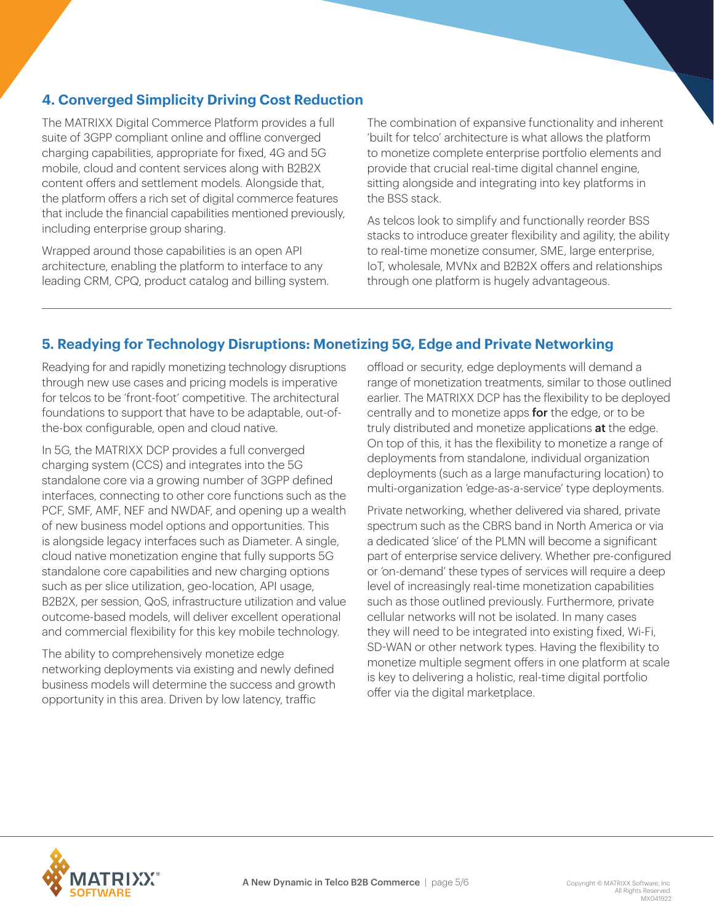#### **4. Converged Simplicity Driving Cost Reduction**

The MATRIXX Digital Commerce Platform provides a full suite of 3GPP compliant online and offline converged charging capabilities, appropriate for fixed, 4G and 5G mobile, cloud and content services along with B2B2X content offers and settlement models. Alongside that, the platform offers a rich set of digital commerce features that include the financial capabilities mentioned previously, including enterprise group sharing.

Wrapped around those capabilities is an open API architecture, enabling the platform to interface to any leading CRM, CPQ, product catalog and billing system. The combination of expansive functionality and inherent 'built for telco' architecture is what allows the platform to monetize complete enterprise portfolio elements and provide that crucial real-time digital channel engine, sitting alongside and integrating into key platforms in the BSS stack.

As telcos look to simplify and functionally reorder BSS stacks to introduce greater flexibility and agility, the ability to real-time monetize consumer, SME, large enterprise, IoT, wholesale, MVNx and B2B2X offers and relationships through one platform is hugely advantageous.

### **5. Readying for Technology Disruptions: Monetizing 5G, Edge and Private Networking**

Readying for and rapidly monetizing technology disruptions through new use cases and pricing models is imperative for telcos to be 'front-foot' competitive. The architectural foundations to support that have to be adaptable, out-ofthe-box configurable, open and cloud native.

In 5G, the MATRIXX DCP provides a full converged charging system (CCS) and integrates into the 5G standalone core via a growing number of 3GPP defined interfaces, connecting to other core functions such as the PCF, SMF, AMF, NEF and NWDAF, and opening up a wealth of new business model options and opportunities. This is alongside legacy interfaces such as Diameter. A single, cloud native monetization engine that fully supports 5G standalone core capabilities and new charging options such as per slice utilization, geo-location, API usage, B2B2X, per session, QoS, infrastructure utilization and value outcome-based models, will deliver excellent operational and commercial flexibility for this key mobile technology.

The ability to comprehensively monetize edge networking deployments via existing and newly defined business models will determine the success and growth opportunity in this area. Driven by low latency, traffic

offload or security, edge deployments will demand a range of monetization treatments, similar to those outlined earlier. The MATRIXX DCP has the flexibility to be deployed centrally and to monetize apps for the edge, or to be truly distributed and monetize applications at the edge. On top of this, it has the flexibility to monetize a range of deployments from standalone, individual organization deployments (such as a large manufacturing location) to multi-organization 'edge-as-a-service' type deployments.

Private networking, whether delivered via shared, private spectrum such as the CBRS band in North America or via a dedicated 'slice' of the PLMN will become a significant part of enterprise service delivery. Whether pre-configured or 'on-demand' these types of services will require a deep level of increasingly real-time monetization capabilities such as those outlined previously. Furthermore, private cellular networks will not be isolated. In many cases they will need to be integrated into existing fixed, Wi-Fi, SD-WAN or other network types. Having the flexibility to monetize multiple segment offers in one platform at scale is key to delivering a holistic, real-time digital portfolio offer via the digital marketplace.